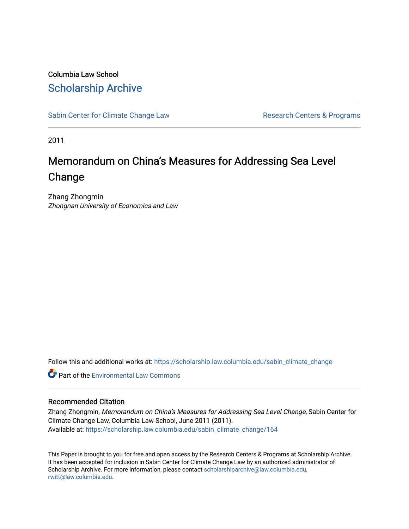## Columbia Law School [Scholarship Archive](https://scholarship.law.columbia.edu/)

[Sabin Center for Climate Change Law](https://scholarship.law.columbia.edu/sabin_climate_change) Research Centers & Programs

2011

## Memorandum on China's Measures for Addressing Sea Level Change

Zhang Zhongmin Zhongnan University of Economics and Law

Follow this and additional works at: [https://scholarship.law.columbia.edu/sabin\\_climate\\_change](https://scholarship.law.columbia.edu/sabin_climate_change?utm_source=scholarship.law.columbia.edu%2Fsabin_climate_change%2F164&utm_medium=PDF&utm_campaign=PDFCoverPages) 

**C** Part of the [Environmental Law Commons](http://network.bepress.com/hgg/discipline/599?utm_source=scholarship.law.columbia.edu%2Fsabin_climate_change%2F164&utm_medium=PDF&utm_campaign=PDFCoverPages)

#### Recommended Citation

Zhang Zhongmin, Memorandum on China's Measures for Addressing Sea Level Change, Sabin Center for Climate Change Law, Columbia Law School, June 2011 (2011). Available at: [https://scholarship.law.columbia.edu/sabin\\_climate\\_change/164](https://scholarship.law.columbia.edu/sabin_climate_change/164?utm_source=scholarship.law.columbia.edu%2Fsabin_climate_change%2F164&utm_medium=PDF&utm_campaign=PDFCoverPages) 

This Paper is brought to you for free and open access by the Research Centers & Programs at Scholarship Archive. It has been accepted for inclusion in Sabin Center for Climate Change Law by an authorized administrator of Scholarship Archive. For more information, please contact [scholarshiparchive@law.columbia.edu,](mailto:scholarshiparchive@law.columbia.edu,%20rwitt@law.columbia.edu) [rwitt@law.columbia.edu.](mailto:scholarshiparchive@law.columbia.edu,%20rwitt@law.columbia.edu)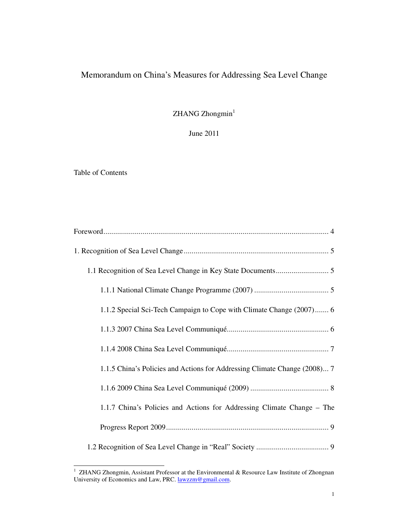## Memorandum on China's Measures for Addressing Sea Level Change

 $ZHANG Zhongmin<sup>1</sup>$ 

June 2011

Table of Contents

| 1.1.2 Special Sci-Tech Campaign to Cope with Climate Change (2007) 6      |
|---------------------------------------------------------------------------|
|                                                                           |
|                                                                           |
| 1.1.5 China's Policies and Actions for Addressing Climate Change (2008) 7 |
|                                                                           |
| 1.1.7 China's Policies and Actions for Addressing Climate Change - The    |
|                                                                           |
|                                                                           |

 1 ZHANG Zhongmin, Assistant Professor at the Environmental & Resource Law Institute of Zhongnan University of Economics and Law, PRC. lawzzm@gmail.com.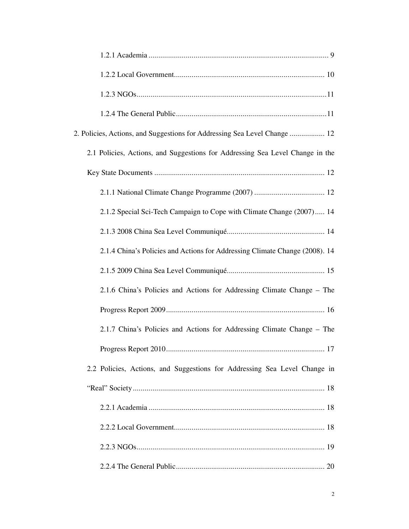| 2. Policies, Actions, and Suggestions for Addressing Sea Level Change  12     |
|-------------------------------------------------------------------------------|
| 2.1 Policies, Actions, and Suggestions for Addressing Sea Level Change in the |
|                                                                               |
|                                                                               |
| 2.1.2 Special Sci-Tech Campaign to Cope with Climate Change (2007) 14         |
|                                                                               |
| 2.1.4 China's Policies and Actions for Addressing Climate Change (2008). 14   |
|                                                                               |
| 2.1.6 China's Policies and Actions for Addressing Climate Change – The        |
|                                                                               |
| 2.1.7 China's Policies and Actions for Addressing Climate Change – The        |
| .17                                                                           |
| 2.2 Policies, Actions, and Suggestions for Addressing Sea Level Change in     |
|                                                                               |
|                                                                               |
|                                                                               |
|                                                                               |
|                                                                               |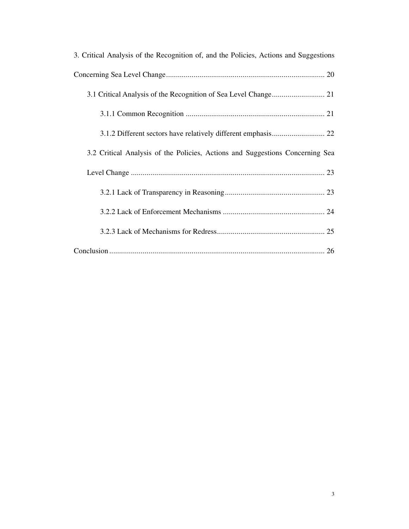| 3. Critical Analysis of the Recognition of, and the Policies, Actions and Suggestions |
|---------------------------------------------------------------------------------------|
|                                                                                       |
|                                                                                       |
|                                                                                       |
|                                                                                       |
| 3.2 Critical Analysis of the Policies, Actions and Suggestions Concerning Sea         |
|                                                                                       |
|                                                                                       |
|                                                                                       |
|                                                                                       |
|                                                                                       |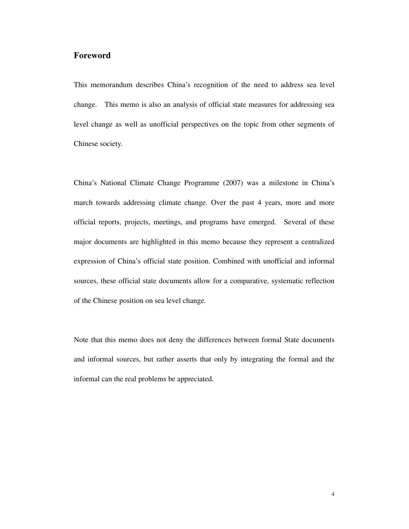### **Foreword**

This memorandum describes China's recognition of the need to address sea level change. This memo is also an analysis of official state measures for addressing sea level change as well as unofficial perspectives on the topic from other segments of Chinese society.

China's National Climate Change Programme (2007) was a milestone in China's march towards addressing climate change. Over the past 4 years, more and more official reports, projects, meetings, and programs have emerged. Several of these major documents are highlighted in this memo because they represent a centralized expression of China's official state position. Combined with unofficial and informal sources, these official state documents allow for a comparative, systematic reflection of the Chinese position on sea level change.

Note that this memo does not deny the differences between formal State documents and informal sources, but rather asserts that only by integrating the formal and the informal can the real problems be appreciated.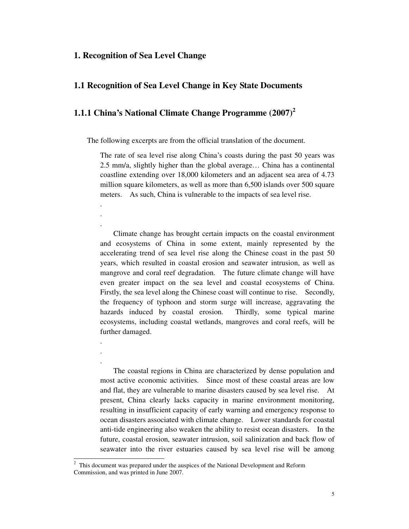#### **1. Recognition of Sea Level Change**

. . .

. . .

-

## **1.1 Recognition of Sea Level Change in Key State Documents**

## **1.1.1 China's National Climate Change Programme (2007)<sup>2</sup>**

The following excerpts are from the official translation of the document.

The rate of sea level rise along China's coasts during the past 50 years was 2.5 mm/a, slightly higher than the global average… China has a continental coastline extending over 18,000 kilometers and an adjacent sea area of 4.73 million square kilometers, as well as more than 6,500 islands over 500 square meters. As such, China is vulnerable to the impacts of sea level rise.

Climate change has brought certain impacts on the coastal environment and ecosystems of China in some extent, mainly represented by the accelerating trend of sea level rise along the Chinese coast in the past 50 years, which resulted in coastal erosion and seawater intrusion, as well as mangrove and coral reef degradation. The future climate change will have even greater impact on the sea level and coastal ecosystems of China. Firstly, the sea level along the Chinese coast will continue to rise. Secondly, the frequency of typhoon and storm surge will increase, aggravating the hazards induced by coastal erosion. Thirdly, some typical marine ecosystems, including coastal wetlands, mangroves and coral reefs, will be further damaged.

The coastal regions in China are characterized by dense population and most active economic activities. Since most of these coastal areas are low and flat, they are vulnerable to marine disasters caused by sea level rise. At present, China clearly lacks capacity in marine environment monitoring, resulting in insufficient capacity of early warning and emergency response to ocean disasters associated with climate change. Lower standards for coastal anti-tide engineering also weaken the ability to resist ocean disasters. In the future, coastal erosion, seawater intrusion, soil salinization and back flow of seawater into the river estuaries caused by sea level rise will be among

<sup>2</sup> This document was prepared under the auspices of the National Development and Reform Commission, and was printed in June 2007.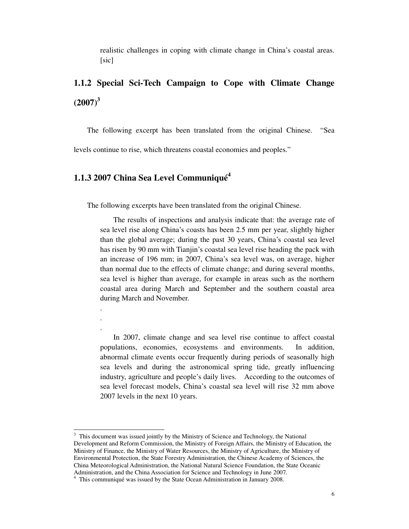realistic challenges in coping with climate change in China's coastal areas. [sic]

## **1.1.2 Special Sci-Tech Campaign to Cope with Climate Change (2007)<sup>3</sup>**

The following excerpt has been translated from the original Chinese. "Sea

levels continue to rise, which threatens coastal economies and peoples."

## **1.1.3 2007 China Sea Level Communiqué<sup>4</sup>**

. . .

The following excerpts have been translated from the original Chinese.

The results of inspections and analysis indicate that: the average rate of sea level rise along China's coasts has been 2.5 mm per year, slightly higher than the global average; during the past 30 years, China's coastal sea level has risen by 90 mm with Tianjin's coastal sea level rise heading the pack with an increase of 196 mm; in 2007, China's sea level was, on average, higher than normal due to the effects of climate change; and during several months, sea level is higher than average, for example in areas such as the northern coastal area during March and September and the southern coastal area during March and November.

In 2007, climate change and sea level rise continue to affect coastal populations, economies, ecosystems and environments. In addition, abnormal climate events occur frequently during periods of seasonally high sea levels and during the astronomical spring tide, greatly influencing industry, agriculture and people's daily lives. According to the outcomes of sea level forecast models, China's coastal sea level will rise 32 mm above 2007 levels in the next 10 years.

<sup>-&</sup>lt;br>3 This document was issued jointly by the Ministry of Science and Technology, the National Development and Reform Commission, the Ministry of Foreign Affairs, the Ministry of Education, the Ministry of Finance, the Ministry of Water Resources, the Ministry of Agriculture, the Ministry of Environmental Protection, the State Forestry Administration, the Chinese Academy of Sciences, the China Meteorological Administration, the National Natural Science Foundation, the State Oceanic Administration, and the China Association for Science and Technology in June 2007.

<sup>&</sup>lt;sup>4</sup> This communiqué was issued by the State Ocean Administration in January 2008.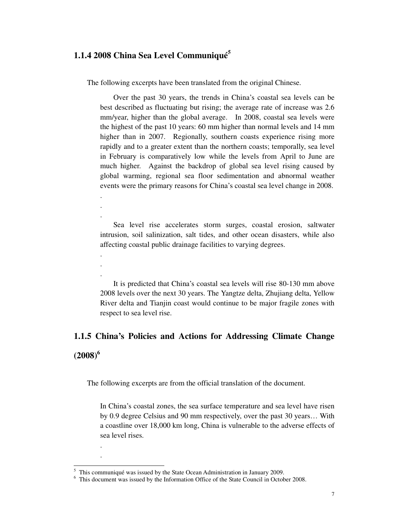### **1.1.4 2008 China Sea Level Communiqué<sup>5</sup>**

. . .

. . .

. .

The following excerpts have been translated from the original Chinese.

Over the past 30 years, the trends in China's coastal sea levels can be best described as fluctuating but rising; the average rate of increase was 2.6 mm/year, higher than the global average. In 2008, coastal sea levels were the highest of the past 10 years: 60 mm higher than normal levels and 14 mm higher than in 2007. Regionally, southern coasts experience rising more rapidly and to a greater extent than the northern coasts; temporally, sea level in February is comparatively low while the levels from April to June are much higher. Against the backdrop of global sea level rising caused by global warming, regional sea floor sedimentation and abnormal weather events were the primary reasons for China's coastal sea level change in 2008.

Sea level rise accelerates storm surges, coastal erosion, saltwater intrusion, soil salinization, salt tides, and other ocean disasters, while also affecting coastal public drainage facilities to varying degrees.

It is predicted that China's coastal sea levels will rise 80-130 mm above 2008 levels over the next 30 years. The Yangtze delta, Zhujiang delta, Yellow River delta and Tianjin coast would continue to be major fragile zones with respect to sea level rise.

## **1.1.5 China's Policies and Actions for Addressing Climate Change (2008)<sup>6</sup>**

The following excerpts are from the official translation of the document.

In China's coastal zones, the sea surface temperature and sea level have risen by 0.9 degree Celsius and 90 mm respectively, over the past 30 years… With a coastline over 18,000 km long, China is vulnerable to the adverse effects of sea level rises.

<sup>&</sup>lt;sup>5</sup> This communiqué was issued by the State Ocean Administration in January 2009.

<sup>6</sup> This document was issued by the Information Office of the State Council in October 2008.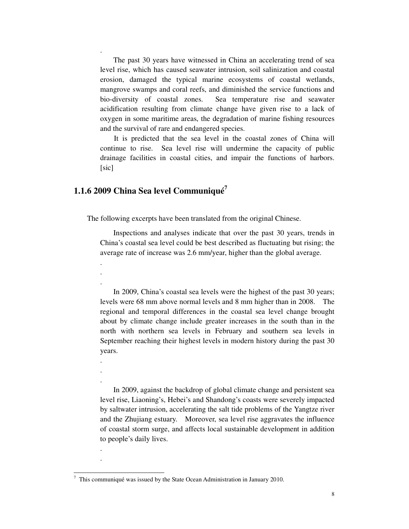The past 30 years have witnessed in China an accelerating trend of sea level rise, which has caused seawater intrusion, soil salinization and coastal erosion, damaged the typical marine ecosystems of coastal wetlands, mangrove swamps and coral reefs, and diminished the service functions and bio-diversity of coastal zones. Sea temperature rise and seawater acidification resulting from climate change have given rise to a lack of oxygen in some maritime areas, the degradation of marine fishing resources and the survival of rare and endangered species.

It is predicted that the sea level in the coastal zones of China will continue to rise. Sea level rise will undermine the capacity of public drainage facilities in coastal cities, and impair the functions of harbors. [sic]

## **1.1.6 2009 China Sea level Communiqué<sup>7</sup>**

.

. . .

. . .

. .

-

The following excerpts have been translated from the original Chinese.

Inspections and analyses indicate that over the past 30 years, trends in China's coastal sea level could be best described as fluctuating but rising; the average rate of increase was 2.6 mm/year, higher than the global average.

In 2009, China's coastal sea levels were the highest of the past 30 years; levels were 68 mm above normal levels and 8 mm higher than in 2008. The regional and temporal differences in the coastal sea level change brought about by climate change include greater increases in the south than in the north with northern sea levels in February and southern sea levels in September reaching their highest levels in modern history during the past 30 years.

In 2009, against the backdrop of global climate change and persistent sea level rise, Liaoning's, Hebei's and Shandong's coasts were severely impacted by saltwater intrusion, accelerating the salt tide problems of the Yangtze river and the Zhujiang estuary. Moreover, sea level rise aggravates the influence of coastal storm surge, and affects local sustainable development in addition to people's daily lives.

<sup>7</sup> This communiqué was issued by the State Ocean Administration in January 2010.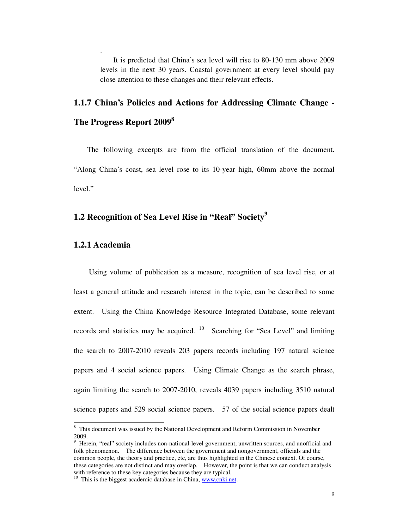It is predicted that China's sea level will rise to 80-130 mm above 2009 levels in the next 30 years. Coastal government at every level should pay close attention to these changes and their relevant effects.

## **1.1.7 China's Policies and Actions for Addressing Climate Change - The Progress Report 2009<sup>8</sup>**

The following excerpts are from the official translation of the document. "Along China's coast, sea level rose to its 10-year high, 60mm above the normal level."

## **1.2 Recognition of Sea Level Rise in "Real" Society<sup>9</sup>**

#### **1.2.1 Academia**

.

Using volume of publication as a measure, recognition of sea level rise, or at least a general attitude and research interest in the topic, can be described to some extent. Using the China Knowledge Resource Integrated Database, some relevant records and statistics may be acquired.  $10$  Searching for "Sea Level" and limiting the search to 2007-2010 reveals 203 papers records including 197 natural science papers and 4 social science papers. Using Climate Change as the search phrase, again limiting the search to 2007-2010, reveals 4039 papers including 3510 natural science papers and 529 social science papers. 57 of the social science papers dealt

<sup>&</sup>lt;sup>8</sup> This document was issued by the National Development and Reform Commission in November 2009.  $\frac{2}{9}$ 

Herein, "real" society includes non-national-level government, unwritten sources, and unofficial and folk phenomenon. The difference between the government and nongovernment, officials and the common people, the theory and practice, etc, are thus highlighted in the Chinese context. Of course, these categories are not distinct and may overlap. However, the point is that we can conduct analysis with reference to these key categories because they are typical.

<sup>&</sup>lt;sup>10</sup> This is the biggest academic database in China, www.cnki.net.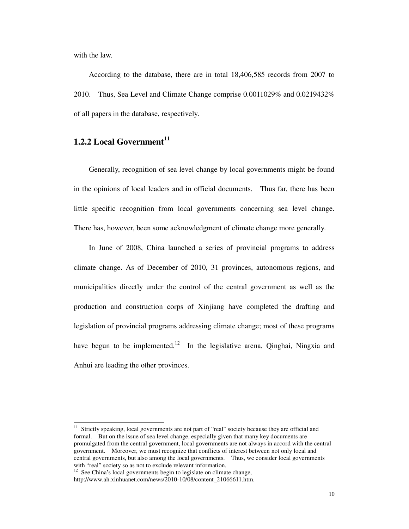with the law.

According to the database, there are in total 18,406,585 records from 2007 to 2010. Thus, Sea Level and Climate Change comprise 0.0011029% and 0.0219432% of all papers in the database, respectively.

## **1.2.2 Local Government<sup>11</sup>**

Generally, recognition of sea level change by local governments might be found in the opinions of local leaders and in official documents. Thus far, there has been little specific recognition from local governments concerning sea level change. There has, however, been some acknowledgment of climate change more generally.

In June of 2008, China launched a series of provincial programs to address climate change. As of December of 2010, 31 provinces, autonomous regions, and municipalities directly under the control of the central government as well as the production and construction corps of Xinjiang have completed the drafting and legislation of provincial programs addressing climate change; most of these programs have begun to be implemented.<sup>12</sup> In the legislative arena, Qinghai, Ningxia and Anhui are leading the other provinces.

 $11$ Strictly speaking, local governments are not part of "real" society because they are official and formal. But on the issue of sea level change, especially given that many key documents are promulgated from the central government, local governments are not always in accord with the central government. Moreover, we must recognize that conflicts of interest between not only local and central governments, but also among the local governments. Thus, we consider local governments with "real" society so as not to exclude relevant information.

 $12$  See China's local governments begin to legislate on climate change, http://www.ah.xinhuanet.com/news/2010-10/08/content\_21066611.htm.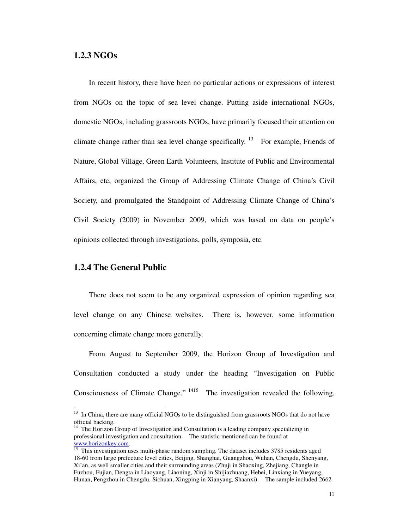#### **1.2.3 NGOs**

In recent history, there have been no particular actions or expressions of interest from NGOs on the topic of sea level change. Putting aside international NGOs, domestic NGOs, including grassroots NGOs, have primarily focused their attention on climate change rather than sea level change specifically.<sup>13</sup> For example, Friends of Nature, Global Village, Green Earth Volunteers, Institute of Public and Environmental Affairs, etc, organized the Group of Addressing Climate Change of China's Civil Society, and promulgated the Standpoint of Addressing Climate Change of China's Civil Society (2009) in November 2009, which was based on data on people's opinions collected through investigations, polls, symposia, etc.

#### **1.2.4 The General Public**

-

There does not seem to be any organized expression of opinion regarding sea level change on any Chinese websites. There is, however, some information concerning climate change more generally.

From August to September 2009, the Horizon Group of Investigation and Consultation conducted a study under the heading "Investigation on Public Consciousness of Climate Change."  $1415$  The investigation revealed the following.

 $13$  In China, there are many official NGOs to be distinguished from grassroots NGOs that do not have official backing.

 $14$  The Horizon Group of Investigation and Consultation is a leading company specializing in professional investigation and consultation. The statistic mentioned can be found at www.horizonkey.com.

<sup>&</sup>lt;sup>15</sup> This investigation uses multi-phase random sampling. The dataset includes 3785 residents aged 18-60 from large prefecture level cities, Beijing, Shanghai, Guangzhou, Wuhan, Chengdu, Shenyang, Xi'an, as well smaller cities and their surrounding areas (Zhuji in Shaoxing, Zhejiang, Changle in Fuzhou, Fujian, Dengta in Liaoyang, Liaoning, Xinji in Shijiazhuang, Hebei, Linxiang in Yueyang, Hunan, Pengzhou in Chengdu, Sichuan, Xingping in Xianyang, Shaanxi). The sample included 2662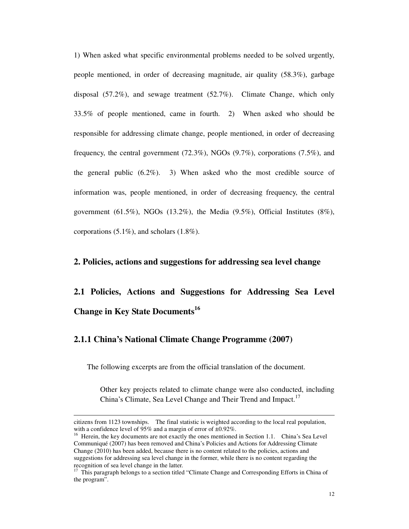1) When asked what specific environmental problems needed to be solved urgently, people mentioned, in order of decreasing magnitude, air quality (58.3%), garbage disposal  $(57.2\%)$ , and sewage treatment  $(52.7\%)$ . Climate Change, which only 33.5% of people mentioned, came in fourth. 2) When asked who should be responsible for addressing climate change, people mentioned, in order of decreasing frequency, the central government (72.3%), NGOs (9.7%), corporations (7.5%), and the general public (6.2%). 3) When asked who the most credible source of information was, people mentioned, in order of decreasing frequency, the central government  $(61.5\%)$ , NGOs  $(13.2\%)$ , the Media  $(9.5\%)$ , Official Institutes  $(8\%)$ , corporations (5.1%), and scholars (1.8%).

#### **2. Policies, actions and suggestions for addressing sea level change**

**2.1 Policies, Actions and Suggestions for Addressing Sea Level Change in Key State Documents<sup>16</sup>**

#### **2.1.1 China's National Climate Change Programme (2007)**

-

The following excerpts are from the official translation of the document.

Other key projects related to climate change were also conducted, including China's Climate, Sea Level Change and Their Trend and Impact.<sup>17</sup>

citizens from 1123 townships. The final statistic is weighted according to the local real population, with a confidence level of 95% and a margin of error of  $\pm 0.92$ %.

<sup>&</sup>lt;sup>16</sup> Herein, the key documents are not exactly the ones mentioned in Section 1.1. China's Sea Level Communiqué (2007) has been removed and China's Policies and Actions for Addressing Climate Change (2010) has been added, because there is no content related to the policies, actions and suggestions for addressing sea level change in the former, while there is no content regarding the recognition of sea level change in the latter.

<sup>&</sup>lt;sup>17</sup> This paragraph belongs to a section titled "Climate Change and Corresponding Efforts in China of the program".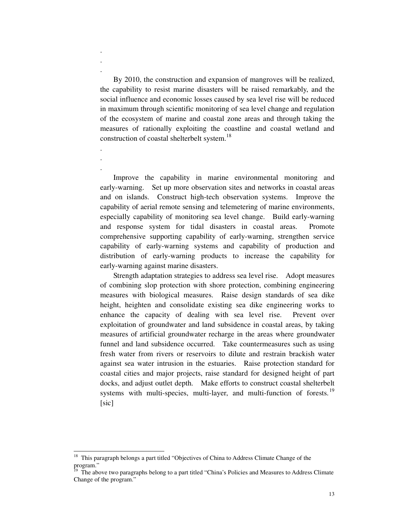By 2010, the construction and expansion of mangroves will be realized, the capability to resist marine disasters will be raised remarkably, and the social influence and economic losses caused by sea level rise will be reduced in maximum through scientific monitoring of sea level change and regulation of the ecosystem of marine and coastal zone areas and through taking the measures of rationally exploiting the coastline and coastal wetland and construction of coastal shelterbelt system.<sup>18</sup>

. . .

. . .

-

Improve the capability in marine environmental monitoring and early-warning. Set up more observation sites and networks in coastal areas and on islands. Construct high-tech observation systems. Improve the capability of aerial remote sensing and telemetering of marine environments, especially capability of monitoring sea level change. Build early-warning and response system for tidal disasters in coastal areas. Promote comprehensive supporting capability of early-warning, strengthen service capability of early-warning systems and capability of production and distribution of early-warning products to increase the capability for early-warning against marine disasters.

 Strength adaptation strategies to address sea level rise. Adopt measures of combining slop protection with shore protection, combining engineering measures with biological measures. Raise design standards of sea dike height, heighten and consolidate existing sea dike engineering works to enhance the capacity of dealing with sea level rise. Prevent over exploitation of groundwater and land subsidence in coastal areas, by taking measures of artificial groundwater recharge in the areas where groundwater funnel and land subsidence occurred. Take countermeasures such as using fresh water from rivers or reservoirs to dilute and restrain brackish water against sea water intrusion in the estuaries. Raise protection standard for coastal cities and major projects, raise standard for designed height of part docks, and adjust outlet depth. Make efforts to construct coastal shelterbelt systems with multi-species, multi-layer, and multi-function of forests.<sup>19</sup> [sic]

<sup>18</sup> This paragraph belongs a part titled "Objectives of China to Address Climate Change of the program."

<sup>19</sup> The above two paragraphs belong to a part titled "China's Policies and Measures to Address Climate Change of the program."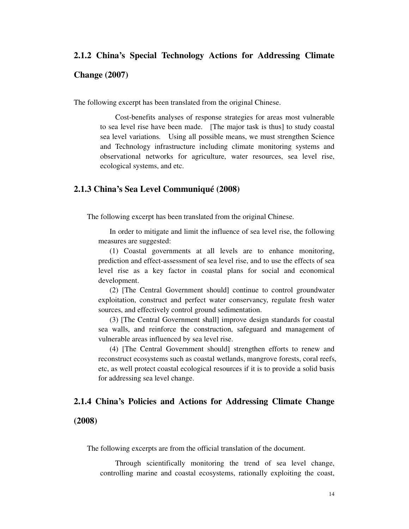# **2.1.2 China's Special Technology Actions for Addressing Climate Change (2007)**

The following excerpt has been translated from the original Chinese.

Cost-benefits analyses of response strategies for areas most vulnerable to sea level rise have been made. [The major task is thus] to study coastal sea level variations. Using all possible means, we must strengthen Science and Technology infrastructure including climate monitoring systems and observational networks for agriculture, water resources, sea level rise, ecological systems, and etc.

#### **2.1.3 China's Sea Level Communiqué (2008)**

The following excerpt has been translated from the original Chinese.

In order to mitigate and limit the influence of sea level rise, the following measures are suggested:

(1) Coastal governments at all levels are to enhance monitoring, prediction and effect-assessment of sea level rise, and to use the effects of sea level rise as a key factor in coastal plans for social and economical development.

(2) [The Central Government should] continue to control groundwater exploitation, construct and perfect water conservancy, regulate fresh water sources, and effectively control ground sedimentation.

(3) [The Central Government shall] improve design standards for coastal sea walls, and reinforce the construction, safeguard and management of vulnerable areas influenced by sea level rise.

(4) [The Central Government should] strengthen efforts to renew and reconstruct ecosystems such as coastal wetlands, mangrove forests, coral reefs, etc, as well protect coastal ecological resources if it is to provide a solid basis for addressing sea level change.

#### **2.1.4 China's Policies and Actions for Addressing Climate Change**

#### **(2008)**

The following excerpts are from the official translation of the document.

Through scientifically monitoring the trend of sea level change, controlling marine and coastal ecosystems, rationally exploiting the coast,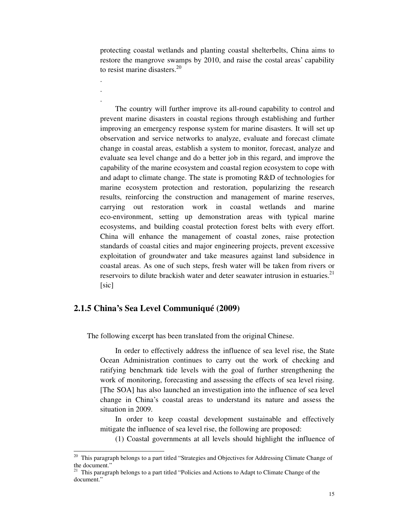protecting coastal wetlands and planting coastal shelterbelts, China aims to restore the mangrove swamps by 2010, and raise the costal areas' capability to resist marine disasters.<sup>20</sup>

The country will further improve its all-round capability to control and prevent marine disasters in coastal regions through establishing and further improving an emergency response system for marine disasters. It will set up observation and service networks to analyze, evaluate and forecast climate change in coastal areas, establish a system to monitor, forecast, analyze and evaluate sea level change and do a better job in this regard, and improve the capability of the marine ecosystem and coastal region ecosystem to cope with and adapt to climate change. The state is promoting R&D of technologies for marine ecosystem protection and restoration, popularizing the research results, reinforcing the construction and management of marine reserves, carrying out restoration work in coastal wetlands and marine eco-environment, setting up demonstration areas with typical marine ecosystems, and building coastal protection forest belts with every effort. China will enhance the management of coastal zones, raise protection standards of coastal cities and major engineering projects, prevent excessive exploitation of groundwater and take measures against land subsidence in coastal areas. As one of such steps, fresh water will be taken from rivers or reservoirs to dilute brackish water and deter seawater intrusion in estuaries.<sup>21</sup> [sic]

## **2.1.5 China's Sea Level Communiqué (2009)**

. . .

The following excerpt has been translated from the original Chinese.

In order to effectively address the influence of sea level rise, the State Ocean Administration continues to carry out the work of checking and ratifying benchmark tide levels with the goal of further strengthening the work of monitoring, forecasting and assessing the effects of sea level rising. [The SOA] has also launched an investigation into the influence of sea level change in China's coastal areas to understand its nature and assess the situation in 2009.

In order to keep coastal development sustainable and effectively mitigate the influence of sea level rise, the following are proposed:

(1) Coastal governments at all levels should highlight the influence of

 $20\,$ <sup>20</sup> This paragraph belongs to a part titled "Strategies and Objectives for Addressing Climate Change of the document.'

<sup>&</sup>lt;sup>21</sup> This paragraph belongs to a part titled "Policies and Actions to Adapt to Climate Change of the document."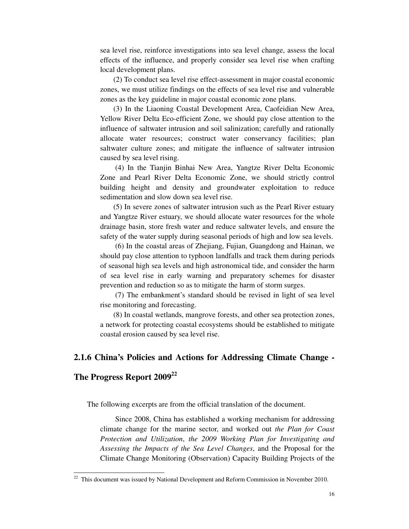sea level rise, reinforce investigations into sea level change, assess the local effects of the influence, and properly consider sea level rise when crafting local development plans.

(2) To conduct sea level rise effect-assessment in major coastal economic zones, we must utilize findings on the effects of sea level rise and vulnerable zones as the key guideline in major coastal economic zone plans.

(3) In the Liaoning Coastal Development Area, Caofeidian New Area, Yellow River Delta Eco-efficient Zone, we should pay close attention to the influence of saltwater intrusion and soil salinization; carefully and rationally allocate water resources; construct water conservancy facilities; plan saltwater culture zones; and mitigate the influence of saltwater intrusion caused by sea level rising.

(4) In the Tianjin Binhai New Area, Yangtze River Delta Economic Zone and Pearl River Delta Economic Zone, we should strictly control building height and density and groundwater exploitation to reduce sedimentation and slow down sea level rise.

(5) In severe zones of saltwater intrusion such as the Pearl River estuary and Yangtze River estuary, we should allocate water resources for the whole drainage basin, store fresh water and reduce saltwater levels, and ensure the safety of the water supply during seasonal periods of high and low sea levels.

(6) In the coastal areas of Zhejiang, Fujian, Guangdong and Hainan, we should pay close attention to typhoon landfalls and track them during periods of seasonal high sea levels and high astronomical tide, and consider the harm of sea level rise in early warning and preparatory schemes for disaster prevention and reduction so as to mitigate the harm of storm surges.

(7) The embankment's standard should be revised in light of sea level rise monitoring and forecasting.

(8) In coastal wetlands, mangrove forests, and other sea protection zones, a network for protecting coastal ecosystems should be established to mitigate coastal erosion caused by sea level rise.

## **2.1.6 China's Policies and Actions for Addressing Climate Change -**

#### **The Progress Report 2009<sup>22</sup>**

-

The following excerpts are from the official translation of the document.

Since 2008, China has established a working mechanism for addressing climate change for the marine sector, and worked out *the Plan for Coast Protection and Utilization*, *the 2009 Working Plan for Investigating and Assessing the Impacts of the Sea Level Changes*, and the Proposal for the Climate Change Monitoring (Observation) Capacity Building Projects of the

 $22$  This document was issued by National Development and Reform Commission in November 2010.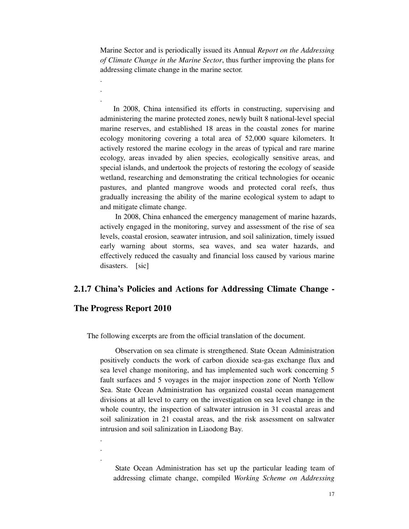Marine Sector and is periodically issued its Annual *Report on the Addressing of Climate Change in the Marine Sector*, thus further improving the plans for addressing climate change in the marine sector.

In 2008, China intensified its efforts in constructing, supervising and administering the marine protected zones, newly built 8 national-level special marine reserves, and established 18 areas in the coastal zones for marine ecology monitoring covering a total area of 52,000 square kilometers. It actively restored the marine ecology in the areas of typical and rare marine ecology, areas invaded by alien species, ecologically sensitive areas, and special islands, and undertook the projects of restoring the ecology of seaside wetland, researching and demonstrating the critical technologies for oceanic pastures, and planted mangrove woods and protected coral reefs, thus gradually increasing the ability of the marine ecological system to adapt to and mitigate climate change.

In 2008, China enhanced the emergency management of marine hazards, actively engaged in the monitoring, survey and assessment of the rise of sea levels, coastal erosion, seawater intrusion, and soil salinization, timely issued early warning about storms, sea waves, and sea water hazards, and effectively reduced the casualty and financial loss caused by various marine disasters. [sic]

#### **2.1.7 China's Policies and Actions for Addressing Climate Change -**

### **The Progress Report 2010**

 . . .

. . .

The following excerpts are from the official translation of the document.

Observation on sea climate is strengthened. State Ocean Administration positively conducts the work of carbon dioxide sea-gas exchange flux and sea level change monitoring, and has implemented such work concerning 5 fault surfaces and 5 voyages in the major inspection zone of North Yellow Sea. State Ocean Administration has organized coastal ocean management divisions at all level to carry on the investigation on sea level change in the whole country, the inspection of saltwater intrusion in 31 coastal areas and soil salinization in 21 coastal areas, and the risk assessment on saltwater intrusion and soil salinization in Liaodong Bay.

State Ocean Administration has set up the particular leading team of addressing climate change, compiled *Working Scheme on Addressing*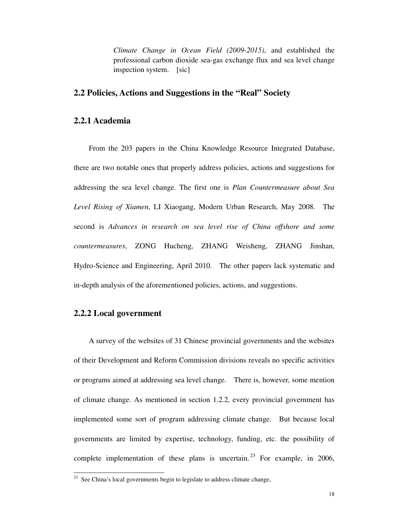*Climate Change in Ocean Field (2009-2015)*, and established the professional carbon dioxide sea-gas exchange flux and sea level change inspection system. [sic]

### **2.2 Policies, Actions and Suggestions in the "Real" Society**

#### **2.2.1 Academia**

From the 203 papers in the China Knowledge Resource Integrated Database, there are two notable ones that properly address policies, actions and suggestions for addressing the sea level change. The first one is *Plan Countermeasure about Sea Level Rising of Xiamen*, LI Xiaogang, Modern Urban Research, May 2008. The second is *Advances in research on sea level rise of China offshore and some countermeasures*, ZONG Hucheng, ZHANG Weisheng, ZHANG Jinshan, Hydro-Science and Engineering, April 2010. The other papers lack systematic and in-depth analysis of the aforementioned policies, actions, and suggestions.

#### **2.2.2 Local government**

-

A survey of the websites of 31 Chinese provincial governments and the websites of their Development and Reform Commission divisions reveals no specific activities or programs aimed at addressing sea level change. There is, however, some mention of climate change. As mentioned in section 1.2.2, every provincial government has implemented some sort of program addressing climate change. But because local governments are limited by expertise, technology, funding, etc. the possibility of complete implementation of these plans is uncertain.<sup>23</sup> For example, in 2006,

 $23$  See China's local governments begin to legislate to address climate change,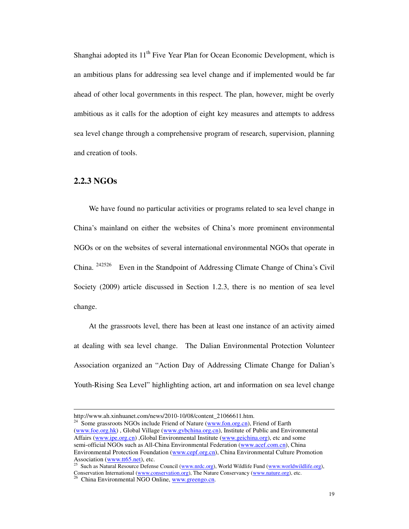Shanghai adopted its  $11<sup>th</sup>$  Five Year Plan for Ocean Economic Development, which is an ambitious plans for addressing sea level change and if implemented would be far ahead of other local governments in this respect. The plan, however, might be overly ambitious as it calls for the adoption of eight key measures and attempts to address sea level change through a comprehensive program of research, supervision, planning and creation of tools.

#### **2.2.3 NGOs**

-

We have found no particular activities or programs related to sea level change in China's mainland on either the websites of China's more prominent environmental NGOs or on the websites of several international environmental NGOs that operate in China.<sup>242526</sup> Even in the Standpoint of Addressing Climate Change of China's Civil Society (2009) article discussed in Section 1.2.3, there is no mention of sea level change.

At the grassroots level, there has been at least one instance of an activity aimed at dealing with sea level change. The Dalian Environmental Protection Volunteer Association organized an "Action Day of Addressing Climate Change for Dalian's Youth-Rising Sea Level" highlighting action, art and information on sea level change

http://www.ah.xinhuanet.com/news/2010-10/08/content\_21066611.htm.

 $24$  Some grassroots NGOs include Friend of Nature (www.fon.org.cn), Friend of Earth (www.foe.org.hk) , Global Village (www.gvbchina.org.cn), Institute of Public and Environmental Affairs (www.ipe.org.cn), Global Environmental Institute (www.geichina.org), etc and some semi-official NGOs such as All-China Environmental Federation (www.acef.com.cn), China Environmental Protection Foundation (www.cepf.org.cn), China Environmental Culture Promotion Association (www.tt65.net), etc.

<sup>&</sup>lt;sup>25</sup> Such as Natural Resource Defense Council (www.nrdc.org), World Wildlife Fund (www.worldwildlife.org),

Conservation International (www.conservation.org), The Nature Conservancy (www.nature.org), etc.<br>
<sup>26</sup> China Environment 1 NGC O.<sup>v</sup>

<sup>26</sup> China Environmental NGO Online, www.greengo.cn.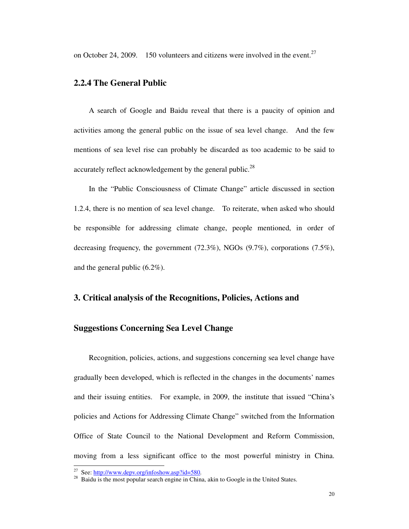on October 24, 2009. 150 volunteers and citizens were involved in the event.<sup>27</sup>

#### **2.2.4 The General Public**

A search of Google and Baidu reveal that there is a paucity of opinion and activities among the general public on the issue of sea level change. And the few mentions of sea level rise can probably be discarded as too academic to be said to accurately reflect acknowledgement by the general public.<sup>28</sup>

In the "Public Consciousness of Climate Change" article discussed in section 1.2.4, there is no mention of sea level change. To reiterate, when asked who should be responsible for addressing climate change, people mentioned, in order of decreasing frequency, the government (72.3%), NGOs (9.7%), corporations (7.5%), and the general public (6.2%).

#### **3. Critical analysis of the Recognitions, Policies, Actions and**

#### **Suggestions Concerning Sea Level Change**

Recognition, policies, actions, and suggestions concerning sea level change have gradually been developed, which is reflected in the changes in the documents' names and their issuing entities. For example, in 2009, the institute that issued "China's policies and Actions for Addressing Climate Change" switched from the Information Office of State Council to the National Development and Reform Commission, moving from a less significant office to the most powerful ministry in China.

-

<sup>&</sup>lt;sup>27</sup> See: http://www.depv.org/infoshow.asp?id=580.

<sup>&</sup>lt;sup>28</sup> Baidu is the most popular search engine in China, akin to Google in the United States.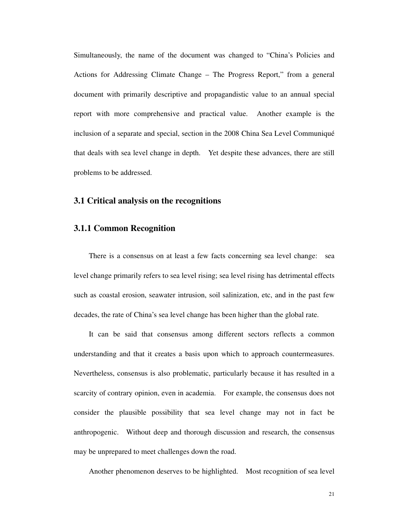Simultaneously, the name of the document was changed to "China's Policies and Actions for Addressing Climate Change – The Progress Report," from a general document with primarily descriptive and propagandistic value to an annual special report with more comprehensive and practical value. Another example is the inclusion of a separate and special, section in the 2008 China Sea Level Communiqué that deals with sea level change in depth. Yet despite these advances, there are still problems to be addressed.

#### **3.1 Critical analysis on the recognitions**

#### **3.1.1 Common Recognition**

There is a consensus on at least a few facts concerning sea level change: sea level change primarily refers to sea level rising; sea level rising has detrimental effects such as coastal erosion, seawater intrusion, soil salinization, etc, and in the past few decades, the rate of China's sea level change has been higher than the global rate.

It can be said that consensus among different sectors reflects a common understanding and that it creates a basis upon which to approach countermeasures. Nevertheless, consensus is also problematic, particularly because it has resulted in a scarcity of contrary opinion, even in academia. For example, the consensus does not consider the plausible possibility that sea level change may not in fact be anthropogenic. Without deep and thorough discussion and research, the consensus may be unprepared to meet challenges down the road.

Another phenomenon deserves to be highlighted. Most recognition of sea level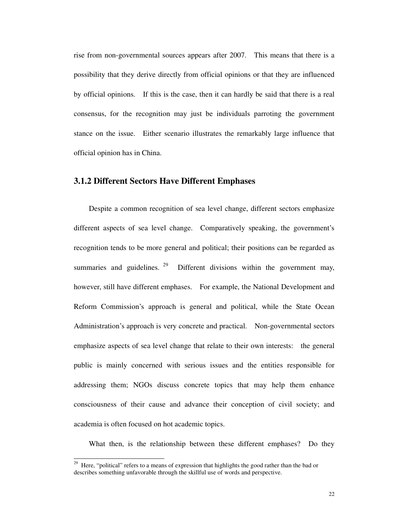rise from non-governmental sources appears after 2007. This means that there is a possibility that they derive directly from official opinions or that they are influenced by official opinions. If this is the case, then it can hardly be said that there is a real consensus, for the recognition may just be individuals parroting the government stance on the issue. Either scenario illustrates the remarkably large influence that official opinion has in China.

#### **3.1.2 Different Sectors Have Different Emphases**

Despite a common recognition of sea level change, different sectors emphasize different aspects of sea level change. Comparatively speaking, the government's recognition tends to be more general and political; their positions can be regarded as summaries and guidelines. <sup>29</sup> Different divisions within the government may, however, still have different emphases. For example, the National Development and Reform Commission's approach is general and political, while the State Ocean Administration's approach is very concrete and practical. Non-governmental sectors emphasize aspects of sea level change that relate to their own interests: the general public is mainly concerned with serious issues and the entities responsible for addressing them; NGOs discuss concrete topics that may help them enhance consciousness of their cause and advance their conception of civil society; and academia is often focused on hot academic topics.

What then, is the relationship between these different emphases? Do they

-

<sup>&</sup>lt;sup>29</sup> Here, "political" refers to a means of expression that highlights the good rather than the bad or describes something unfavorable through the skillful use of words and perspective.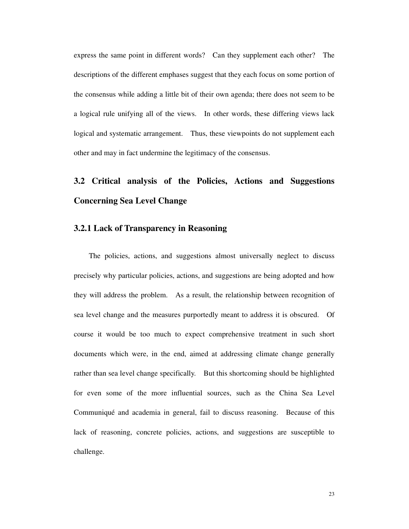express the same point in different words? Can they supplement each other? The descriptions of the different emphases suggest that they each focus on some portion of the consensus while adding a little bit of their own agenda; there does not seem to be a logical rule unifying all of the views. In other words, these differing views lack logical and systematic arrangement. Thus, these viewpoints do not supplement each other and may in fact undermine the legitimacy of the consensus.

# **3.2 Critical analysis of the Policies, Actions and Suggestions Concerning Sea Level Change**

#### **3.2.1 Lack of Transparency in Reasoning**

The policies, actions, and suggestions almost universally neglect to discuss precisely why particular policies, actions, and suggestions are being adopted and how they will address the problem. As a result, the relationship between recognition of sea level change and the measures purportedly meant to address it is obscured. Of course it would be too much to expect comprehensive treatment in such short documents which were, in the end, aimed at addressing climate change generally rather than sea level change specifically. But this shortcoming should be highlighted for even some of the more influential sources, such as the China Sea Level Communiqué and academia in general, fail to discuss reasoning. Because of this lack of reasoning, concrete policies, actions, and suggestions are susceptible to challenge.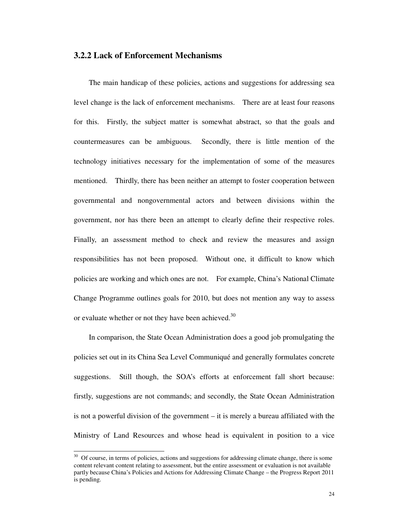#### **3.2.2 Lack of Enforcement Mechanisms**

The main handicap of these policies, actions and suggestions for addressing sea level change is the lack of enforcement mechanisms. There are at least four reasons for this. Firstly, the subject matter is somewhat abstract, so that the goals and countermeasures can be ambiguous. Secondly, there is little mention of the technology initiatives necessary for the implementation of some of the measures mentioned. Thirdly, there has been neither an attempt to foster cooperation between governmental and nongovernmental actors and between divisions within the government, nor has there been an attempt to clearly define their respective roles. Finally, an assessment method to check and review the measures and assign responsibilities has not been proposed. Without one, it difficult to know which policies are working and which ones are not. For example, China's National Climate Change Programme outlines goals for 2010, but does not mention any way to assess or evaluate whether or not they have been achieved.<sup>30</sup>

In comparison, the State Ocean Administration does a good job promulgating the policies set out in its China Sea Level Communiqué and generally formulates concrete suggestions. Still though, the SOA's efforts at enforcement fall short because: firstly, suggestions are not commands; and secondly, the State Ocean Administration is not a powerful division of the government – it is merely a bureau affiliated with the Ministry of Land Resources and whose head is equivalent in position to a vice

-

<sup>&</sup>lt;sup>30</sup> Of course, in terms of policies, actions and suggestions for addressing climate change, there is some content relevant content relating to assessment, but the entire assessment or evaluation is not available partly because China's Policies and Actions for Addressing Climate Change – the Progress Report 2011 is pending.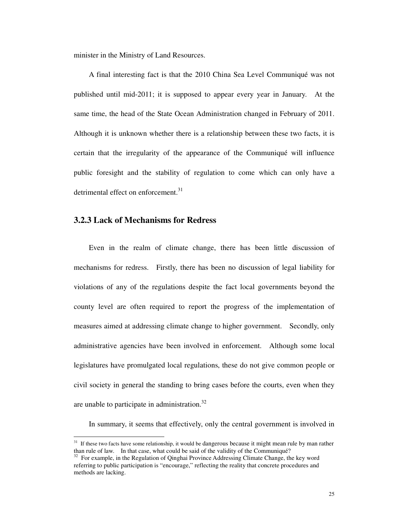minister in the Ministry of Land Resources.

A final interesting fact is that the 2010 China Sea Level Communiqué was not published until mid-2011; it is supposed to appear every year in January. At the same time, the head of the State Ocean Administration changed in February of 2011. Although it is unknown whether there is a relationship between these two facts, it is certain that the irregularity of the appearance of the Communiqué will influence public foresight and the stability of regulation to come which can only have a detrimental effect on enforcement.<sup>31</sup>

### **3.2.3 Lack of Mechanisms for Redress**

-

Even in the realm of climate change, there has been little discussion of mechanisms for redress. Firstly, there has been no discussion of legal liability for violations of any of the regulations despite the fact local governments beyond the county level are often required to report the progress of the implementation of measures aimed at addressing climate change to higher government. Secondly, only administrative agencies have been involved in enforcement. Although some local legislatures have promulgated local regulations, these do not give common people or civil society in general the standing to bring cases before the courts, even when they are unable to participate in administration.<sup>32</sup>

In summary, it seems that effectively, only the central government is involved in

<sup>&</sup>lt;sup>31</sup> If these two facts have some relationship, it would be dangerous because it might mean rule by man rather than rule of law. In that case, what could be said of the validity of the Communiqué?

<sup>&</sup>lt;sup>32</sup> For example, in the Regulation of Qinghai Province Addressing Climate Change, the key word referring to public participation is "encourage," reflecting the reality that concrete procedures and methods are lacking.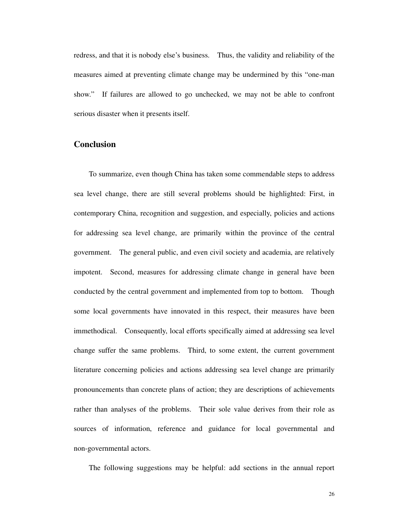redress, and that it is nobody else's business. Thus, the validity and reliability of the measures aimed at preventing climate change may be undermined by this "one-man show." If failures are allowed to go unchecked, we may not be able to confront serious disaster when it presents itself.

## **Conclusion**

To summarize, even though China has taken some commendable steps to address sea level change, there are still several problems should be highlighted: First, in contemporary China, recognition and suggestion, and especially, policies and actions for addressing sea level change, are primarily within the province of the central government. The general public, and even civil society and academia, are relatively impotent. Second, measures for addressing climate change in general have been conducted by the central government and implemented from top to bottom. Though some local governments have innovated in this respect, their measures have been immethodical. Consequently, local efforts specifically aimed at addressing sea level change suffer the same problems. Third, to some extent, the current government literature concerning policies and actions addressing sea level change are primarily pronouncements than concrete plans of action; they are descriptions of achievements rather than analyses of the problems. Their sole value derives from their role as sources of information, reference and guidance for local governmental and non-governmental actors.

The following suggestions may be helpful: add sections in the annual report

26